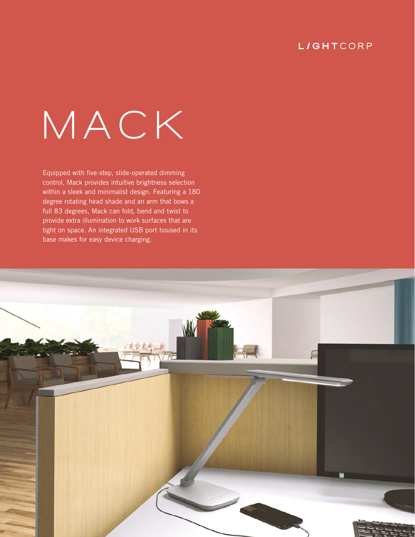# **L/GHTCORP**

# **MACK**

Equipped with five-step, slide-operated dimming control, Mack provides intuitive brightness selection within a sleek and minimalist design. Featuring a 180 degree rotating head shade and an arm that bows a full 83 degrees, Mack can fold, bend and twist to provide extra illumination to work surfaces that are tight on space. An integrated USB port housed in its base makes for easy device charging.

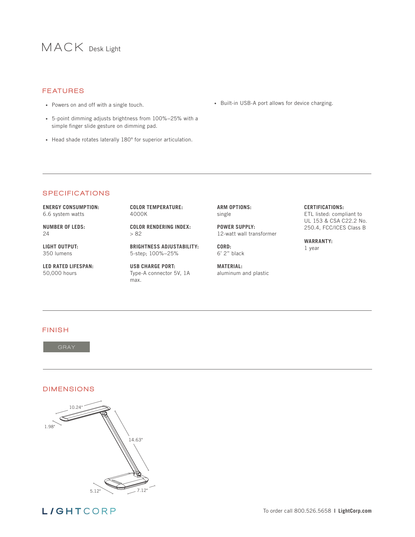# **MACK** Desk Light

#### FEATURES

- Powers on and off with a single touch.
- 5-point dimming adjusts brightness from 100%−25% with a simple finger slide gesture on dimming pad.
- Head shade rotates laterally 180° for superior articulation.

• Built-in USB-A port allows for device charging.

#### **SPECIFICATIONS**

**ENERGY CONSUMPTION:** 6.6 system watts

**NUMBER OF LEDS:** 24

**LIGHT OUTPUT:** 350 lumens

**LED RATED LIFESPAN:** 50,000 hours

**COLOR TEMPERATURE:** 4000K

**COLOR RENDERING INDEX:** > 82

**BRIGHTNESS ADJUSTABILITY:**  5-step; 100%−25%

**USB CHARGE PORT:** Type-A connector 5V, 1A max.

**ARM OPTIONS:** single

**POWER SUPPLY:** 12-watt wall transformer

**CORD:** 6' 2" black

**MATERIAL:** aluminum and plastic

#### **CERTIFICATIONS:**

ETL listed: compliant to UL 153 & CSA C22.2 No. 250.4, FCC/ICES Class B

#### **WARRANTY:** 1 year

#### FINISH

### DIMENSIONS



**L/GHTCORP**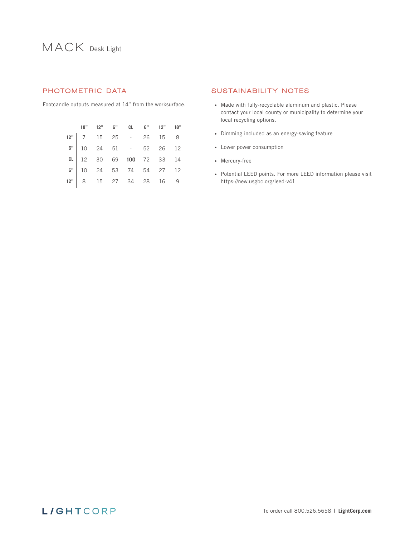# **MACK** Desk Light

Footcandle outputs measured at 14" from the worksurface.

|  |  | 18" 12" 6" CL 6" 12" 18"                                                                                                         |  |  |
|--|--|----------------------------------------------------------------------------------------------------------------------------------|--|--|
|  |  |                                                                                                                                  |  |  |
|  |  |                                                                                                                                  |  |  |
|  |  |                                                                                                                                  |  |  |
|  |  | 12" 7 15 25 - 26 15 8<br>6" 10 24 51 - 52 26 12<br>ct 12 30 69 100 72 33 14<br>6" 10 24 53 74 54 27 12<br>12" 8 15 27 34 28 16 9 |  |  |
|  |  |                                                                                                                                  |  |  |

#### PHOTOMETRIC DATA SUSTAINABILITY NOTES

- Made with fully-recyclable aluminum and plastic. Please contact your local county or municipality to determine your local recycling options.
- Dimming included as an energy-saving feature
- Lower power consumption
- Mercury-free
- Potential LEED points. For more LEED information please visit https://new.usgbc.org/leed-v41